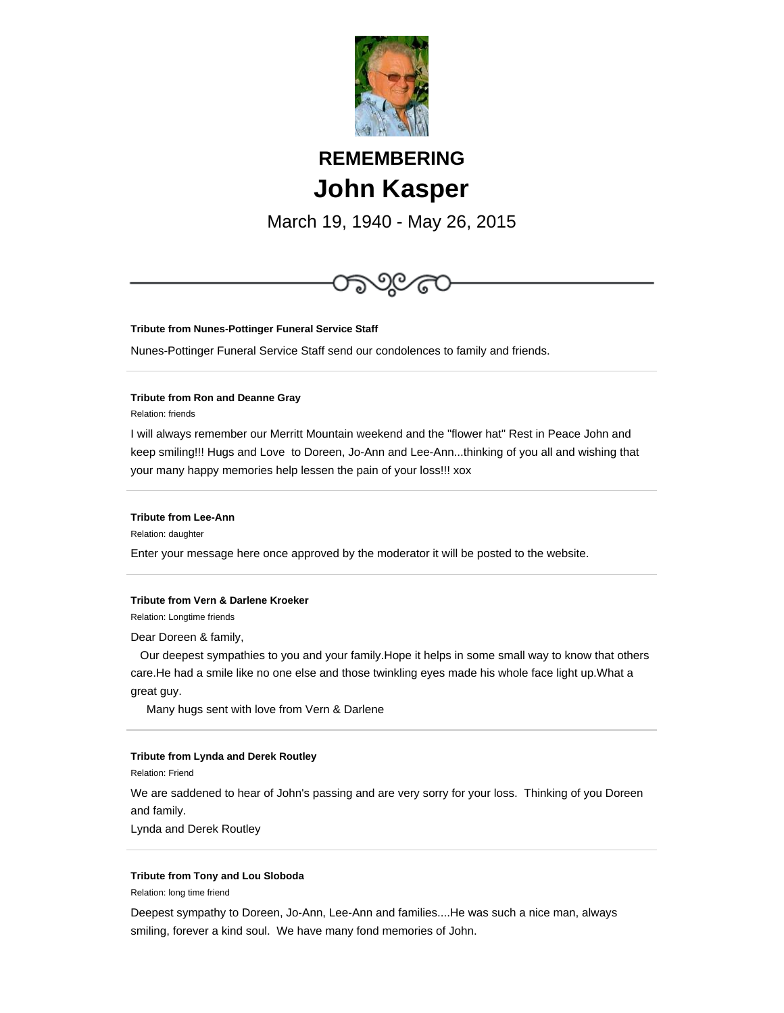

# **REMEMBERING John Kasper**

March 19, 1940 - May 26, 2015



## **Tribute from Nunes-Pottinger Funeral Service Staff**

Nunes-Pottinger Funeral Service Staff send our condolences to family and friends.

### **Tribute from Ron and Deanne Gray**

Relation: friends

I will always remember our Merritt Mountain weekend and the "flower hat" Rest in Peace John and keep smiling!!! Hugs and Love to Doreen, Jo-Ann and Lee-Ann...thinking of you all and wishing that your many happy memories help lessen the pain of your loss!!! xox

#### **Tribute from Lee-Ann**

Relation: daughter

Enter your message here once approved by the moderator it will be posted to the website.

#### **Tribute from Vern & Darlene Kroeker**

Relation: Longtime friends

Dear Doreen & family,

 Our deepest sympathies to you and your family.Hope it helps in some small way to know that others care.He had a smile like no one else and those twinkling eyes made his whole face light up.What a great guy.

Many hugs sent with love from Vern & Darlene

## **Tribute from Lynda and Derek Routley**

Relation: Friend

We are saddened to hear of John's passing and are very sorry for your loss. Thinking of you Doreen and family.

Lynda and Derek Routley

#### **Tribute from Tony and Lou Sloboda**

Relation: long time friend

Deepest sympathy to Doreen, Jo-Ann, Lee-Ann and families....He was such a nice man, always smiling, forever a kind soul. We have many fond memories of John.